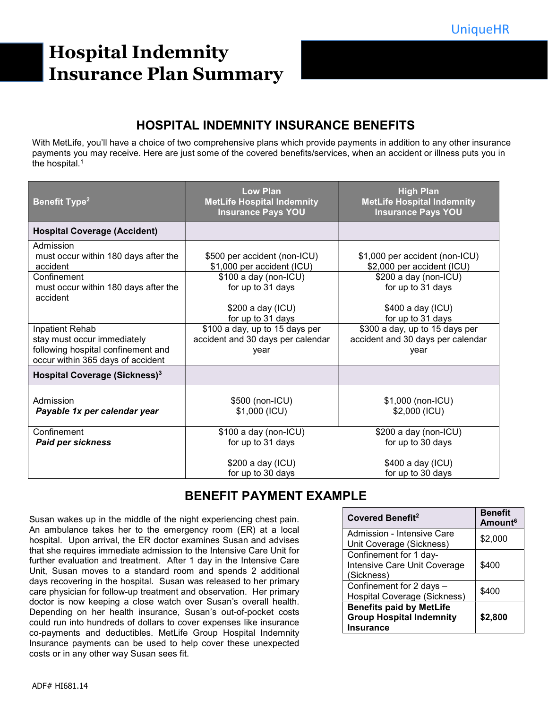# Hospital Indemnity Insurance Plan Summary

## HOSPITAL INDEMNITY INSURANCE BENEFITS

With MetLife, you'll have a choice of two comprehensive plans which provide payments in addition to any other insurance payments you may receive. Here are just some of the covered benefits/services, when an accident or illness puts you in the hospital.<sup>1</sup>

| <b>Benefit Type<sup>2</sup></b>                                                                                           | <b>Low Plan</b><br><b>MetLife Hospital Indemnity</b><br><b>Insurance Pays YOU</b> | <b>High Plan</b><br><b>MetLife Hospital Indemnity</b><br><b>Insurance Pays YOU</b> |
|---------------------------------------------------------------------------------------------------------------------------|-----------------------------------------------------------------------------------|------------------------------------------------------------------------------------|
| <b>Hospital Coverage (Accident)</b>                                                                                       |                                                                                   |                                                                                    |
| Admission<br>must occur within 180 days after the<br>accident                                                             | \$500 per accident (non-ICU)<br>\$1,000 per accident (ICU)                        | \$1,000 per accident (non-ICU)<br>\$2,000 per accident (ICU)                       |
| Confinement<br>must occur within 180 days after the<br>accident                                                           | \$100 a day (non-ICU)<br>for up to 31 days                                        | \$200 a day (non-ICU)<br>for up to 31 days                                         |
|                                                                                                                           | \$200 a day (ICU)<br>for up to 31 days                                            | \$400 a day (ICU)<br>for up to 31 days                                             |
| Inpatient Rehab<br>stay must occur immediately<br>following hospital confinement and<br>occur within 365 days of accident | \$100 a day, up to 15 days per<br>accident and 30 days per calendar<br>year       | \$300 a day, up to 15 days per<br>accident and 30 days per calendar<br>year        |
| Hospital Coverage (Sickness) <sup>3</sup>                                                                                 |                                                                                   |                                                                                    |
| Admission<br>Payable 1x per calendar year                                                                                 | \$500 (non-ICU)<br>\$1,000 (ICU)                                                  | \$1,000 (non-ICU)<br>\$2,000 (ICU)                                                 |
| Confinement<br><b>Paid per sickness</b>                                                                                   | \$100 a day (non-ICU)<br>for up to 31 days                                        | \$200 a day (non-ICU)<br>for up to 30 days                                         |
|                                                                                                                           | \$200 a day (ICU)<br>for up to 30 days                                            | \$400 a day (ICU)<br>for up to 30 days                                             |

# BENEFIT PAYMENT EXAMPLE

Susan wakes up in the middle of the night experiencing chest pain. An ambulance takes her to the emergency room (ER) at a local hospital. Upon arrival, the ER doctor examines Susan and advises that she requires immediate admission to the Intensive Care Unit for further evaluation and treatment. After 1 day in the Intensive Care Unit, Susan moves to a standard room and spends 2 additional days recovering in the hospital. Susan was released to her primary care physician for follow-up treatment and observation. Her primary doctor is now keeping a close watch over Susan's overall health. Depending on her health insurance, Susan's out-of-pocket costs could run into hundreds of dollars to cover expenses like insurance co-payments and deductibles. MetLife Group Hospital Indemnity Insurance payments can be used to help cover these unexpected costs or in any other way Susan sees fit.

| <b>Covered Benefit<sup>2</sup></b>                                                     | <b>Benefit</b><br>Amount <sup>6</sup> |
|----------------------------------------------------------------------------------------|---------------------------------------|
| Admission - Intensive Care<br>Unit Coverage (Sickness)                                 | \$2,000                               |
| Confinement for 1 day-<br>Intensive Care Unit Coverage<br>(Sickness)                   | \$400                                 |
| Confinement for 2 days -<br><b>Hospital Coverage (Sickness)</b>                        | \$400                                 |
| <b>Benefits paid by MetLife</b><br><b>Group Hospital Indemnity</b><br><b>Insurance</b> | \$2.800                               |